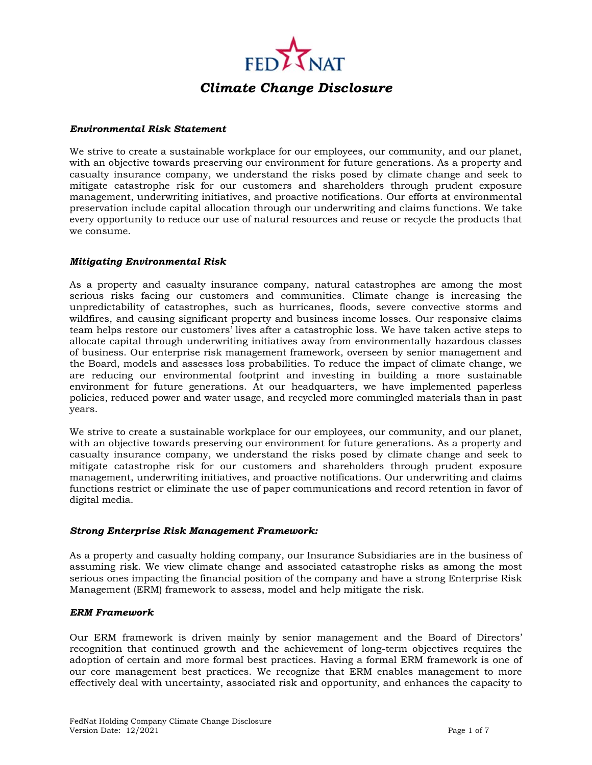

#### *Environmental Risk Statement*

We strive to create a sustainable workplace for our employees, our community, and our planet, with an objective towards preserving our environment for future generations. As a property and casualty insurance company, we understand the risks posed by climate change and seek to mitigate catastrophe risk for our customers and shareholders through prudent exposure management, underwriting initiatives, and proactive notifications. Our efforts at environmental preservation include capital allocation through our underwriting and claims functions. We take every opportunity to reduce our use of natural resources and reuse or recycle the products that we consume.

#### *Mitigating Environmental Risk*

As a property and casualty insurance company, natural catastrophes are among the most serious risks facing our customers and communities. Climate change is increasing the unpredictability of catastrophes, such as hurricanes, floods, severe convective storms and wildfires, and causing significant property and business income losses. Our responsive claims team helps restore our customers' lives after a catastrophic loss. We have taken active steps to allocate capital through underwriting initiatives away from environmentally hazardous classes of business. Our enterprise risk management framework, overseen by senior management and the Board, models and assesses loss probabilities. To reduce the impact of climate change, we are reducing our environmental footprint and investing in building a more sustainable environment for future generations. At our headquarters, we have implemented paperless policies, reduced power and water usage, and recycled more commingled materials than in past years.

We strive to create a sustainable workplace for our employees, our community, and our planet, with an objective towards preserving our environment for future generations. As a property and casualty insurance company, we understand the risks posed by climate change and seek to mitigate catastrophe risk for our customers and shareholders through prudent exposure management, underwriting initiatives, and proactive notifications. Our underwriting and claims functions restrict or eliminate the use of paper communications and record retention in favor of digital media.

### *Strong Enterprise Risk Management Framework:*

As a property and casualty holding company, our Insurance Subsidiaries are in the business of assuming risk. We view climate change and associated catastrophe risks as among the most serious ones impacting the financial position of the company and have a strong Enterprise Risk Management (ERM) framework to assess, model and help mitigate the risk.

#### *ERM Framework*

Our ERM framework is driven mainly by senior management and the Board of Directors' recognition that continued growth and the achievement of long-term objectives requires the adoption of certain and more formal best practices. Having a formal ERM framework is one of our core management best practices. We recognize that ERM enables management to more effectively deal with uncertainty, associated risk and opportunity, and enhances the capacity to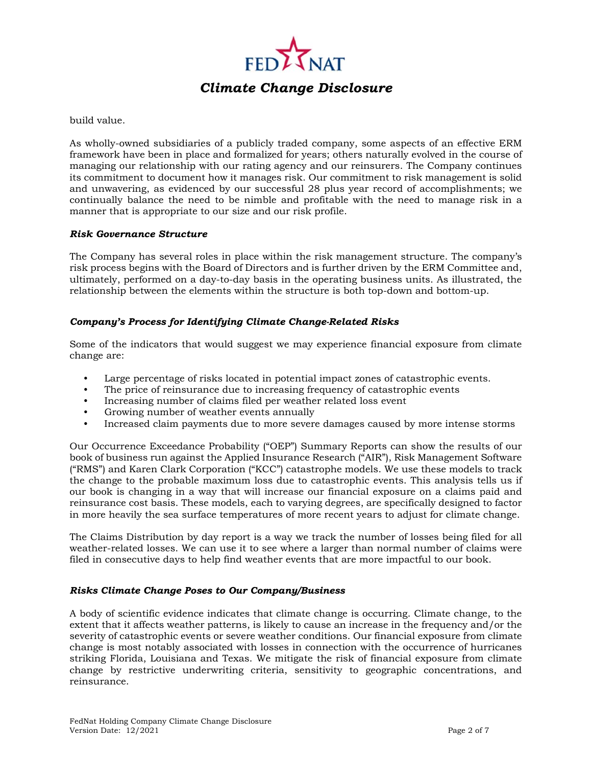

build value.

As wholly-owned subsidiaries of a publicly traded company, some aspects of an effective ERM framework have been in place and formalized for years; others naturally evolved in the course of managing our relationship with our rating agency and our reinsurers. The Company continues its commitment to document how it manages risk. Our commitment to risk management is solid and unwavering, as evidenced by our successful 28 plus year record of accomplishments; we continually balance the need to be nimble and profitable with the need to manage risk in a manner that is appropriate to our size and our risk profile.

### *Risk Governance Structure*

The Company has several roles in place within the risk management structure. The company's risk process begins with the Board of Directors and is further driven by the ERM Committee and, ultimately, performed on a day-to-day basis in the operating business units. As illustrated, the relationship between the elements within the structure is both top-down and bottom-up.

### *Company's Process for Identifying Climate Change-Related Risks*

Some of the indicators that would suggest we may experience financial exposure from climate change are:

- Large percentage of risks located in potential impact zones of catastrophic events.
- The price of reinsurance due to increasing frequency of catastrophic events
- Increasing number of claims filed per weather related loss event
- Growing number of weather events annually
- Increased claim payments due to more severe damages caused by more intense storms

Our Occurrence Exceedance Probability ("OEP") Summary Reports can show the results of our book of business run against the Applied Insurance Research ("AIR"), Risk Management Software ("RMS") and Karen Clark Corporation ("KCC") catastrophe models. We use these models to track the change to the probable maximum loss due to catastrophic events. This analysis tells us if our book is changing in a way that will increase our financial exposure on a claims paid and reinsurance cost basis. These models, each to varying degrees, are specifically designed to factor in more heavily the sea surface temperatures of more recent years to adjust for climate change.

The Claims Distribution by day report is a way we track the number of losses being filed for all weather-related losses. We can use it to see where a larger than normal number of claims were filed in consecutive days to help find weather events that are more impactful to our book.

### *Risks Climate Change Poses to Our Company/Business*

A body of scientific evidence indicates that climate change is occurring. Climate change, to the extent that it affects weather patterns, is likely to cause an increase in the frequency and/or the severity of catastrophic events or severe weather conditions. Our financial exposure from climate change is most notably associated with losses in connection with the occurrence of hurricanes striking Florida, Louisiana and Texas. We mitigate the risk of financial exposure from climate change by restrictive underwriting criteria, sensitivity to geographic concentrations, and reinsurance.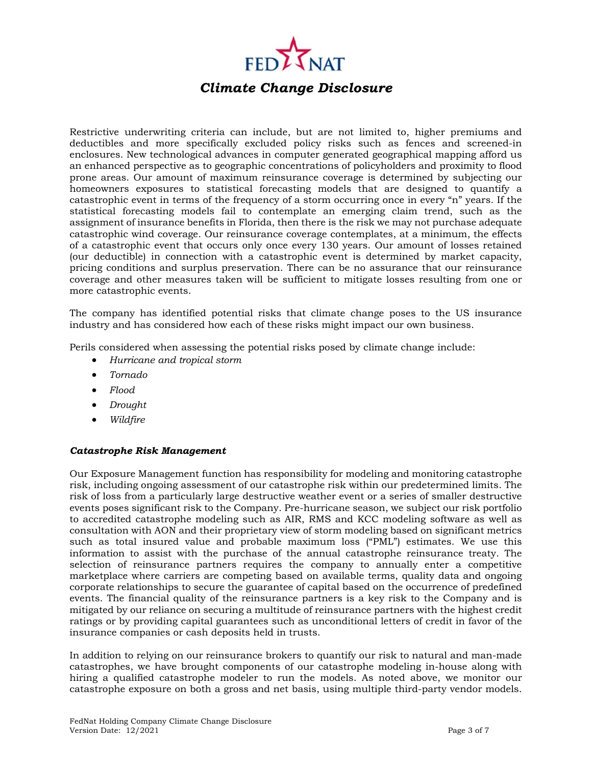

Restrictive underwriting criteria can include, but are not limited to, higher premiums and deductibles and more specifically excluded policy risks such as fences and screened-in enclosures. New technological advances in computer generated geographical mapping afford us an enhanced perspective as to geographic concentrations of policyholders and proximity to flood prone areas. Our amount of maximum reinsurance coverage is determined by subjecting our homeowners exposures to statistical forecasting models that are designed to quantify a catastrophic event in terms of the frequency of a storm occurring once in every "n" years. If the statistical forecasting models fail to contemplate an emerging claim trend, such as the assignment of insurance benefits in Florida, then there is the risk we may not purchase adequate catastrophic wind coverage. Our reinsurance coverage contemplates, at a minimum, the effects of a catastrophic event that occurs only once every 130 years. Our amount of losses retained (our deductible) in connection with a catastrophic event is determined by market capacity, pricing conditions and surplus preservation. There can be no assurance that our reinsurance coverage and other measures taken will be sufficient to mitigate losses resulting from one or more catastrophic events.

The company has identified potential risks that climate change poses to the US insurance industry and has considered how each of these risks might impact our own business.

Perils considered when assessing the potential risks posed by climate change include:

- *Hurricane and tropical storm*
- *Tornado*
- *Flood*
- *Drought*
- *Wildfire*

### *Catastrophe Risk Management*

Our Exposure Management function has responsibility for modeling and monitoring catastrophe risk, including ongoing assessment of our catastrophe risk within our predetermined limits. The risk of loss from a particularly large destructive weather event or a series of smaller destructive events poses significant risk to the Company. Pre-hurricane season, we subject our risk portfolio to accredited catastrophe modeling such as AIR, RMS and KCC modeling software as well as consultation with AON and their proprietary view of storm modeling based on significant metrics such as total insured value and probable maximum loss ("PML") estimates. We use this information to assist with the purchase of the annual catastrophe reinsurance treaty. The selection of reinsurance partners requires the company to annually enter a competitive marketplace where carriers are competing based on available terms, quality data and ongoing corporate relationships to secure the guarantee of capital based on the occurrence of predefined events. The financial quality of the reinsurance partners is a key risk to the Company and is mitigated by our reliance on securing a multitude of reinsurance partners with the highest credit ratings or by providing capital guarantees such as unconditional letters of credit in favor of the insurance companies or cash deposits held in trusts.

In addition to relying on our reinsurance brokers to quantify our risk to natural and man-made catastrophes, we have brought components of our catastrophe modeling in-house along with hiring a qualified catastrophe modeler to run the models. As noted above, we monitor our catastrophe exposure on both a gross and net basis, using multiple third-party vendor models.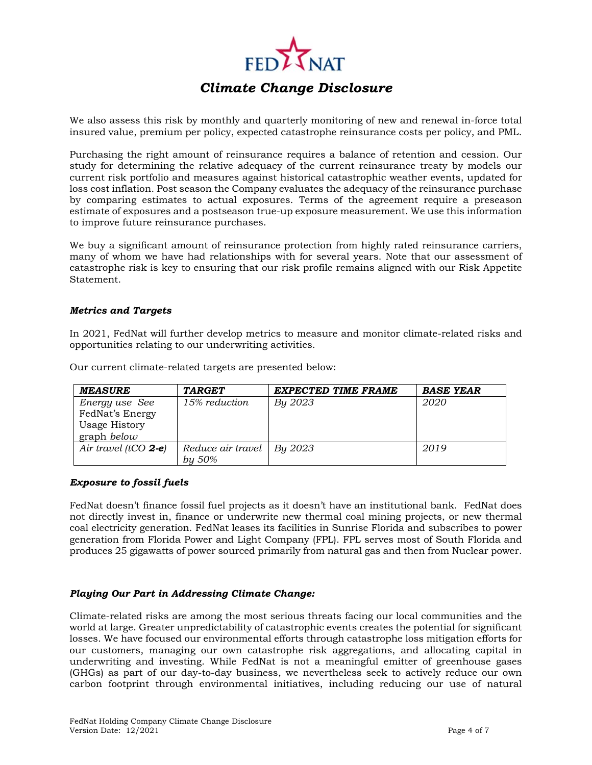

We also assess this risk by monthly and quarterly monitoring of new and renewal in-force total insured value, premium per policy, expected catastrophe reinsurance costs per policy, and PML.

Purchasing the right amount of reinsurance requires a balance of retention and cession. Our study for determining the relative adequacy of the current reinsurance treaty by models our current risk portfolio and measures against historical catastrophic weather events, updated for loss cost inflation. Post season the Company evaluates the adequacy of the reinsurance purchase by comparing estimates to actual exposures. Terms of the agreement require a preseason estimate of exposures and a postseason true-up exposure measurement. We use this information to improve future reinsurance purchases.

We buy a significant amount of reinsurance protection from highly rated reinsurance carriers, many of whom we have had relationships with for several years. Note that our assessment of catastrophe risk is key to ensuring that our risk profile remains aligned with our Risk Appetite Statement.

### *Metrics and Targets*

In 2021, FedNat will further develop metrics to measure and monitor climate-related risks and opportunities relating to our underwriting activities.

| <b>MEASURE</b>          | <b>TARGET</b>     | EXPECTED TIME FRAME | <b>BASE YEAR</b> |
|-------------------------|-------------------|---------------------|------------------|
| Energy use See          | 15% reduction     | By 2023             | 2020             |
| FedNat's Energy         |                   |                     |                  |
| <b>Usage History</b>    |                   |                     |                  |
| $graph$ below           |                   |                     |                  |
| Air travel (tCO $2-e$ ) | Reduce air travel | By 2023             | 2019             |
|                         | by 50%            |                     |                  |

Our current climate-related targets are presented below:

### *Exposure to fossil fuels*

FedNat doesn't finance fossil fuel projects as it doesn't have an institutional bank. FedNat does not directly invest in, finance or underwrite new thermal coal mining projects, or new thermal coal electricity generation. FedNat leases its facilities in Sunrise Florida and subscribes to power generation from Florida Power and Light Company (FPL). FPL serves most of South Florida and produces 25 gigawatts of power sourced primarily from natural gas and then from Nuclear power.

### *Playing Our Part in Addressing Climate Change:*

Climate-related risks are among the most serious threats facing our local communities and the world at large. Greater unpredictability of catastrophic events creates the potential for significant losses. We have focused our environmental efforts through catastrophe loss mitigation efforts for our customers, managing our own catastrophe risk aggregations, and allocating capital in underwriting and investing. While FedNat is not a meaningful emitter of greenhouse gases (GHGs) as part of our day-to-day business, we nevertheless seek to actively reduce our own carbon footprint through environmental initiatives, including reducing our use of natural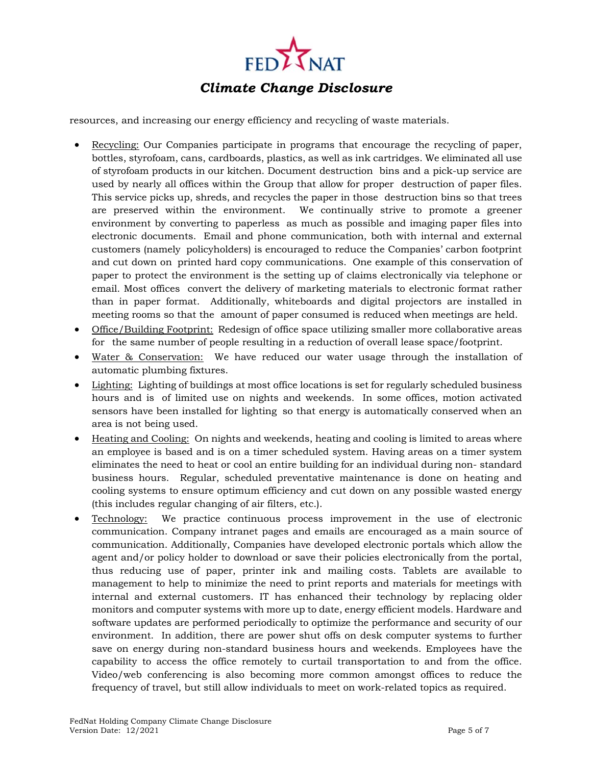

resources, and increasing our energy efficiency and recycling of waste materials.

- Recycling: Our Companies participate in programs that encourage the recycling of paper, bottles, styrofoam, cans, cardboards, plastics, as well as ink cartridges. We eliminated all use of styrofoam products in our kitchen. Document destruction bins and a pick-up service are used by nearly all offices within the Group that allow for proper destruction of paper files. This service picks up, shreds, and recycles the paper in those destruction bins so that trees are preserved within the environment. We continually strive to promote a greener environment by converting to paperless as much as possible and imaging paper files into electronic documents. Email and phone communication, both with internal and external customers (namely policyholders) is encouraged to reduce the Companies' carbon footprint and cut down on printed hard copy communications. One example of this conservation of paper to protect the environment is the setting up of claims electronically via telephone or email. Most offices convert the delivery of marketing materials to electronic format rather than in paper format. Additionally, whiteboards and digital projectors are installed in meeting rooms so that the amount of paper consumed is reduced when meetings are held.
- Office/Building Footprint: Redesign of office space utilizing smaller more collaborative areas for the same number of people resulting in a reduction of overall lease space/footprint.
- Water & Conservation: We have reduced our water usage through the installation of automatic plumbing fixtures.
- Lighting: Lighting of buildings at most office locations is set for regularly scheduled business hours and is of limited use on nights and weekends. In some offices, motion activated sensors have been installed for lighting so that energy is automatically conserved when an area is not being used.
- Heating and Cooling: On nights and weekends, heating and cooling is limited to areas where an employee is based and is on a timer scheduled system. Having areas on a timer system eliminates the need to heat or cool an entire building for an individual during non- standard business hours. Regular, scheduled preventative maintenance is done on heating and cooling systems to ensure optimum efficiency and cut down on any possible wasted energy (this includes regular changing of air filters, etc.).
- Technology: We practice continuous process improvement in the use of electronic communication. Company intranet pages and emails are encouraged as a main source of communication. Additionally, Companies have developed electronic portals which allow the agent and/or policy holder to download or save their policies electronically from the portal, thus reducing use of paper, printer ink and mailing costs. Tablets are available to management to help to minimize the need to print reports and materials for meetings with internal and external customers. IT has enhanced their technology by replacing older monitors and computer systems with more up to date, energy efficient models. Hardware and software updates are performed periodically to optimize the performance and security of our environment. In addition, there are power shut offs on desk computer systems to further save on energy during non-standard business hours and weekends. Employees have the capability to access the office remotely to curtail transportation to and from the office. Video/web conferencing is also becoming more common amongst offices to reduce the frequency of travel, but still allow individuals to meet on work-related topics as required.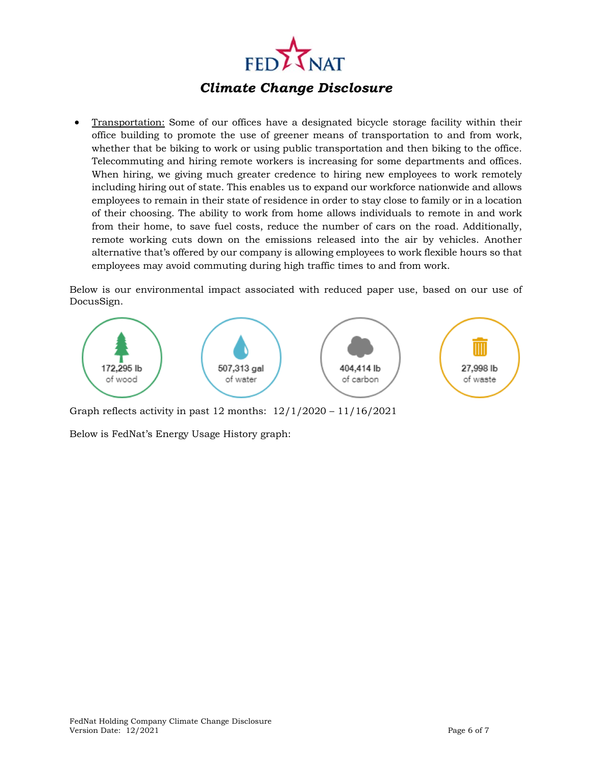

 Transportation: Some of our offices have a designated bicycle storage facility within their office building to promote the use of greener means of transportation to and from work, whether that be biking to work or using public transportation and then biking to the office. Telecommuting and hiring remote workers is increasing for some departments and offices. When hiring, we giving much greater credence to hiring new employees to work remotely including hiring out of state. This enables us to expand our workforce nationwide and allows employees to remain in their state of residence in order to stay close to family or in a location of their choosing. The ability to work from home allows individuals to remote in and work from their home, to save fuel costs, reduce the number of cars on the road. Additionally, remote working cuts down on the emissions released into the air by vehicles. Another alternative that's offered by our company is allowing employees to work flexible hours so that employees may avoid commuting during high traffic times to and from work.

Below is our environmental impact associated with reduced paper use, based on our use of DocusSign.



Graph reflects activity in past 12 months: 12/1/2020 – 11/16/2021

Below is FedNat's Energy Usage History graph: